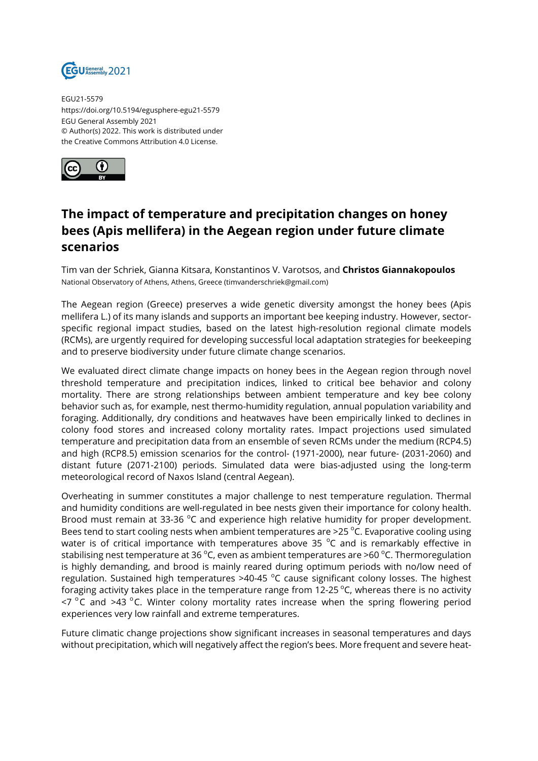

EGU21-5579 https://doi.org/10.5194/egusphere-egu21-5579 EGU General Assembly 2021 © Author(s) 2022. This work is distributed under the Creative Commons Attribution 4.0 License.



## **The impact of temperature and precipitation changes on honey bees (Apis mellifera) in the Aegean region under future climate scenarios**

Tim van der Schriek, Gianna Kitsara, Konstantinos V. Varotsos, and **Christos Giannakopoulos** National Observatory of Athens, Athens, Greece (timvanderschriek@gmail.com)

The Aegean region (Greece) preserves a wide genetic diversity amongst the honey bees (Apis mellifera L.) of its many islands and supports an important bee keeping industry. However, sectorspecific regional impact studies, based on the latest high-resolution regional climate models (RCMs), are urgently required for developing successful local adaptation strategies for beekeeping and to preserve biodiversity under future climate change scenarios.

We evaluated direct climate change impacts on honey bees in the Aegean region through novel threshold temperature and precipitation indices, linked to critical bee behavior and colony mortality. There are strong relationships between ambient temperature and key bee colony behavior such as, for example, nest thermo-humidity regulation, annual population variability and foraging. Additionally, dry conditions and heatwaves have been empirically linked to declines in colony food stores and increased colony mortality rates. Impact projections used simulated temperature and precipitation data from an ensemble of seven RCMs under the medium (RCP4.5) and high (RCP8.5) emission scenarios for the control- (1971-2000), near future- (2031-2060) and distant future (2071-2100) periods. Simulated data were bias-adjusted using the long-term meteorological record of Naxos Island (central Aegean).

Overheating in summer constitutes a major challenge to nest temperature regulation. Thermal and humidity conditions are well-regulated in bee nests given their importance for colony health. Brood must remain at 33-36  $^{\circ}$ C and experience high relative humidity for proper development. Bees tend to start cooling nests when ambient temperatures are >25  $^{\circ}$ C. Evaporative cooling using water is of critical importance with temperatures above 35  $^{\circ}$ C and is remarkably effective in stabilising nest temperature at 36 °C, even as ambient temperatures are >60 °C. Thermoregulation is highly demanding, and brood is mainly reared during optimum periods with no/low need of regulation. Sustained high temperatures >40-45  $^{\circ}$ C cause significant colony losses. The highest foraging activity takes place in the temperature range from  $12{\cdot}25^{\circ}$ C, whereas there is no activity  $\leq$  7 °C and >43 °C. Winter colony mortality rates increase when the spring flowering period experiences very low rainfall and extreme temperatures.

Future climatic change projections show significant increases in seasonal temperatures and days without precipitation, which will negatively affect the region's bees. More frequent and severe heat-